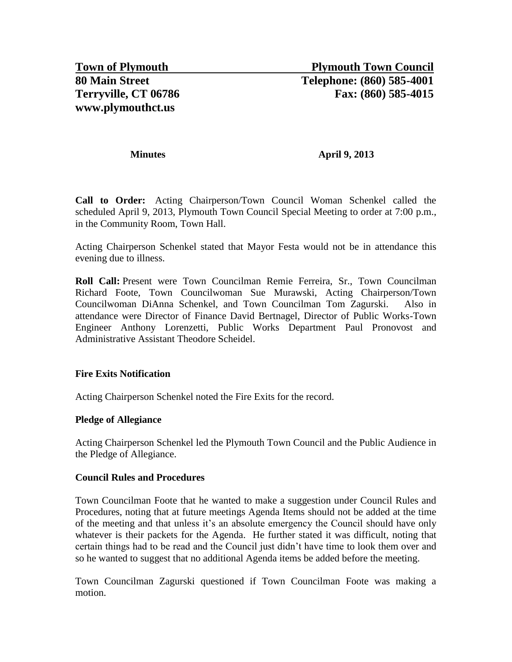#### **Minutes April 9, 2013**

**Call to Order:** Acting Chairperson/Town Council Woman Schenkel called the scheduled April 9, 2013, Plymouth Town Council Special Meeting to order at 7:00 p.m., in the Community Room, Town Hall.

Acting Chairperson Schenkel stated that Mayor Festa would not be in attendance this evening due to illness.

**Roll Call:** Present were Town Councilman Remie Ferreira, Sr., Town Councilman Richard Foote, Town Councilwoman Sue Murawski, Acting Chairperson/Town Councilwoman DiAnna Schenkel, and Town Councilman Tom Zagurski. Also in attendance were Director of Finance David Bertnagel, Director of Public Works-Town Engineer Anthony Lorenzetti, Public Works Department Paul Pronovost and Administrative Assistant Theodore Scheidel.

#### **Fire Exits Notification**

Acting Chairperson Schenkel noted the Fire Exits for the record.

#### **Pledge of Allegiance**

Acting Chairperson Schenkel led the Plymouth Town Council and the Public Audience in the Pledge of Allegiance.

#### **Council Rules and Procedures**

Town Councilman Foote that he wanted to make a suggestion under Council Rules and Procedures, noting that at future meetings Agenda Items should not be added at the time of the meeting and that unless it's an absolute emergency the Council should have only whatever is their packets for the Agenda. He further stated it was difficult, noting that certain things had to be read and the Council just didn't have time to look them over and so he wanted to suggest that no additional Agenda items be added before the meeting.

Town Councilman Zagurski questioned if Town Councilman Foote was making a motion.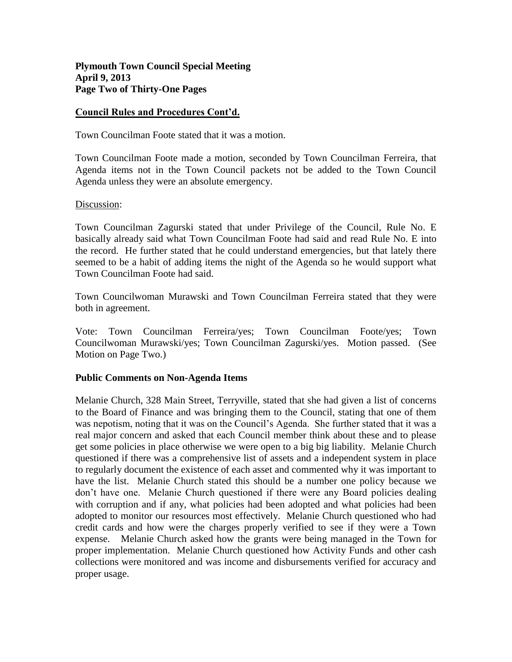### **Plymouth Town Council Special Meeting April 9, 2013 Page Two of Thirty-One Pages**

#### **Council Rules and Procedures Cont'd.**

Town Councilman Foote stated that it was a motion.

Town Councilman Foote made a motion, seconded by Town Councilman Ferreira, that Agenda items not in the Town Council packets not be added to the Town Council Agenda unless they were an absolute emergency.

#### Discussion:

Town Councilman Zagurski stated that under Privilege of the Council, Rule No. E basically already said what Town Councilman Foote had said and read Rule No. E into the record. He further stated that he could understand emergencies, but that lately there seemed to be a habit of adding items the night of the Agenda so he would support what Town Councilman Foote had said.

Town Councilwoman Murawski and Town Councilman Ferreira stated that they were both in agreement.

Vote: Town Councilman Ferreira/yes; Town Councilman Foote/yes; Town Councilwoman Murawski/yes; Town Councilman Zagurski/yes. Motion passed. (See Motion on Page Two.)

#### **Public Comments on Non-Agenda Items**

Melanie Church, 328 Main Street, Terryville, stated that she had given a list of concerns to the Board of Finance and was bringing them to the Council, stating that one of them was nepotism, noting that it was on the Council's Agenda. She further stated that it was a real major concern and asked that each Council member think about these and to please get some policies in place otherwise we were open to a big big liability. Melanie Church questioned if there was a comprehensive list of assets and a independent system in place to regularly document the existence of each asset and commented why it was important to have the list. Melanie Church stated this should be a number one policy because we don't have one. Melanie Church questioned if there were any Board policies dealing with corruption and if any, what policies had been adopted and what policies had been adopted to monitor our resources most effectively. Melanie Church questioned who had credit cards and how were the charges properly verified to see if they were a Town expense. Melanie Church asked how the grants were being managed in the Town for proper implementation. Melanie Church questioned how Activity Funds and other cash collections were monitored and was income and disbursements verified for accuracy and proper usage.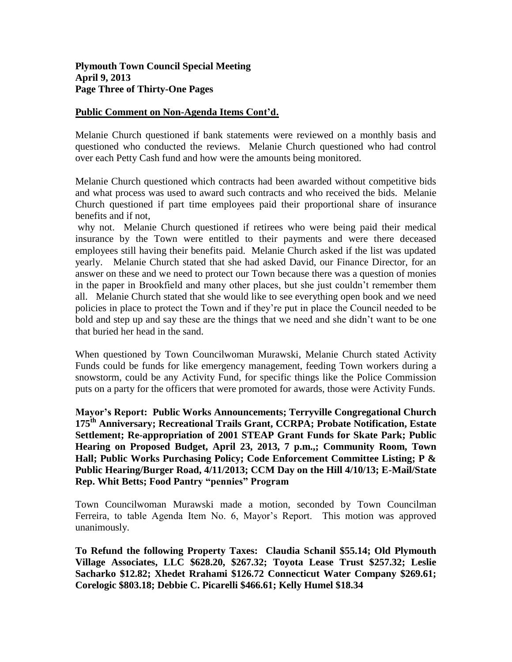# **Public Comment on Non-Agenda Items Cont'd.**

Melanie Church questioned if bank statements were reviewed on a monthly basis and questioned who conducted the reviews. Melanie Church questioned who had control over each Petty Cash fund and how were the amounts being monitored.

Melanie Church questioned which contracts had been awarded without competitive bids and what process was used to award such contracts and who received the bids. Melanie Church questioned if part time employees paid their proportional share of insurance benefits and if not,

why not. Melanie Church questioned if retirees who were being paid their medical insurance by the Town were entitled to their payments and were there deceased employees still having their benefits paid. Melanie Church asked if the list was updated yearly. Melanie Church stated that she had asked David, our Finance Director, for an answer on these and we need to protect our Town because there was a question of monies in the paper in Brookfield and many other places, but she just couldn't remember them all. Melanie Church stated that she would like to see everything open book and we need policies in place to protect the Town and if they're put in place the Council needed to be bold and step up and say these are the things that we need and she didn't want to be one that buried her head in the sand.

When questioned by Town Councilwoman Murawski, Melanie Church stated Activity Funds could be funds for like emergency management, feeding Town workers during a snowstorm, could be any Activity Fund, for specific things like the Police Commission puts on a party for the officers that were promoted for awards, those were Activity Funds.

**Mayor's Report: Public Works Announcements; Terryville Congregational Church 175th Anniversary; Recreational Trails Grant, CCRPA; Probate Notification, Estate Settlement; Re-appropriation of 2001 STEAP Grant Funds for Skate Park; Public Hearing on Proposed Budget, April 23, 2013, 7 p.m.,; Community Room, Town Hall; Public Works Purchasing Policy; Code Enforcement Committee Listing; P & Public Hearing/Burger Road, 4/11/2013; CCM Day on the Hill 4/10/13; E-Mail/State Rep. Whit Betts; Food Pantry "pennies" Program**

Town Councilwoman Murawski made a motion, seconded by Town Councilman Ferreira, to table Agenda Item No. 6, Mayor's Report. This motion was approved unanimously.

**To Refund the following Property Taxes: Claudia Schanil \$55.14; Old Plymouth Village Associates, LLC \$628.20, \$267.32; Toyota Lease Trust \$257.32; Leslie Sacharko \$12.82; Xhedet Rrahami \$126.72 Connecticut Water Company \$269.61; Corelogic \$803.18; Debbie C. Picarelli \$466.61; Kelly Humel \$18.34**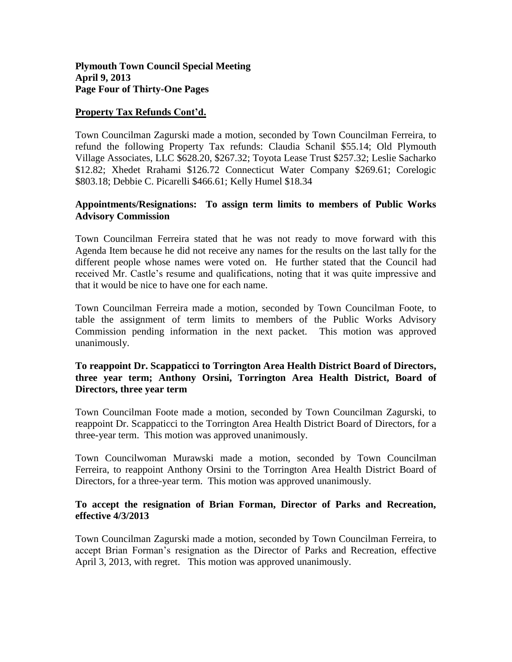### **Property Tax Refunds Cont'd.**

Town Councilman Zagurski made a motion, seconded by Town Councilman Ferreira, to refund the following Property Tax refunds: Claudia Schanil \$55.14; Old Plymouth Village Associates, LLC \$628.20, \$267.32; Toyota Lease Trust \$257.32; Leslie Sacharko \$12.82; Xhedet Rrahami \$126.72 Connecticut Water Company \$269.61; Corelogic \$803.18; Debbie C. Picarelli \$466.61; Kelly Humel \$18.34

# **Appointments/Resignations: To assign term limits to members of Public Works Advisory Commission**

Town Councilman Ferreira stated that he was not ready to move forward with this Agenda Item because he did not receive any names for the results on the last tally for the different people whose names were voted on. He further stated that the Council had received Mr. Castle's resume and qualifications, noting that it was quite impressive and that it would be nice to have one for each name.

Town Councilman Ferreira made a motion, seconded by Town Councilman Foote, to table the assignment of term limits to members of the Public Works Advisory Commission pending information in the next packet. This motion was approved unanimously.

# **To reappoint Dr. Scappaticci to Torrington Area Health District Board of Directors, three year term; Anthony Orsini, Torrington Area Health District, Board of Directors, three year term**

Town Councilman Foote made a motion, seconded by Town Councilman Zagurski, to reappoint Dr. Scappaticci to the Torrington Area Health District Board of Directors, for a three-year term. This motion was approved unanimously.

Town Councilwoman Murawski made a motion, seconded by Town Councilman Ferreira, to reappoint Anthony Orsini to the Torrington Area Health District Board of Directors, for a three-year term. This motion was approved unanimously.

#### **To accept the resignation of Brian Forman, Director of Parks and Recreation, effective 4/3/2013**

Town Councilman Zagurski made a motion, seconded by Town Councilman Ferreira, to accept Brian Forman's resignation as the Director of Parks and Recreation, effective April 3, 2013, with regret. This motion was approved unanimously.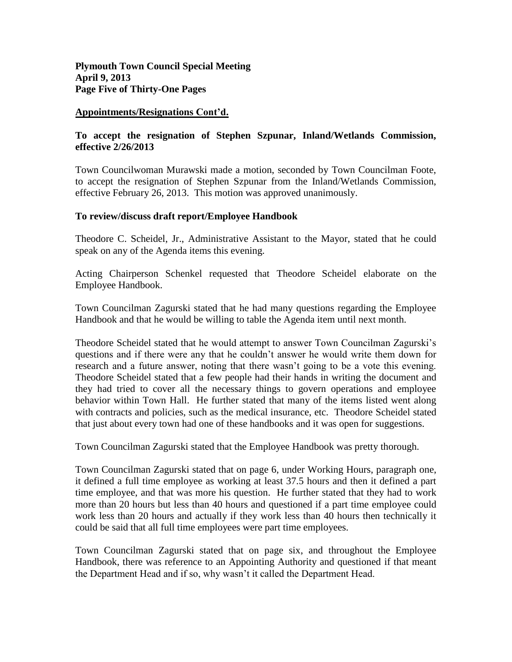**Plymouth Town Council Special Meeting April 9, 2013 Page Five of Thirty-One Pages**

### **Appointments/Resignations Cont'd.**

# **To accept the resignation of Stephen Szpunar, Inland/Wetlands Commission, effective 2/26/2013**

Town Councilwoman Murawski made a motion, seconded by Town Councilman Foote, to accept the resignation of Stephen Szpunar from the Inland/Wetlands Commission, effective February 26, 2013. This motion was approved unanimously.

# **To review/discuss draft report/Employee Handbook**

Theodore C. Scheidel, Jr., Administrative Assistant to the Mayor, stated that he could speak on any of the Agenda items this evening.

Acting Chairperson Schenkel requested that Theodore Scheidel elaborate on the Employee Handbook.

Town Councilman Zagurski stated that he had many questions regarding the Employee Handbook and that he would be willing to table the Agenda item until next month.

Theodore Scheidel stated that he would attempt to answer Town Councilman Zagurski's questions and if there were any that he couldn't answer he would write them down for research and a future answer, noting that there wasn't going to be a vote this evening. Theodore Scheidel stated that a few people had their hands in writing the document and they had tried to cover all the necessary things to govern operations and employee behavior within Town Hall. He further stated that many of the items listed went along with contracts and policies, such as the medical insurance, etc. Theodore Scheidel stated that just about every town had one of these handbooks and it was open for suggestions.

Town Councilman Zagurski stated that the Employee Handbook was pretty thorough.

Town Councilman Zagurski stated that on page 6, under Working Hours, paragraph one, it defined a full time employee as working at least 37.5 hours and then it defined a part time employee, and that was more his question. He further stated that they had to work more than 20 hours but less than 40 hours and questioned if a part time employee could work less than 20 hours and actually if they work less than 40 hours then technically it could be said that all full time employees were part time employees.

Town Councilman Zagurski stated that on page six, and throughout the Employee Handbook, there was reference to an Appointing Authority and questioned if that meant the Department Head and if so, why wasn't it called the Department Head.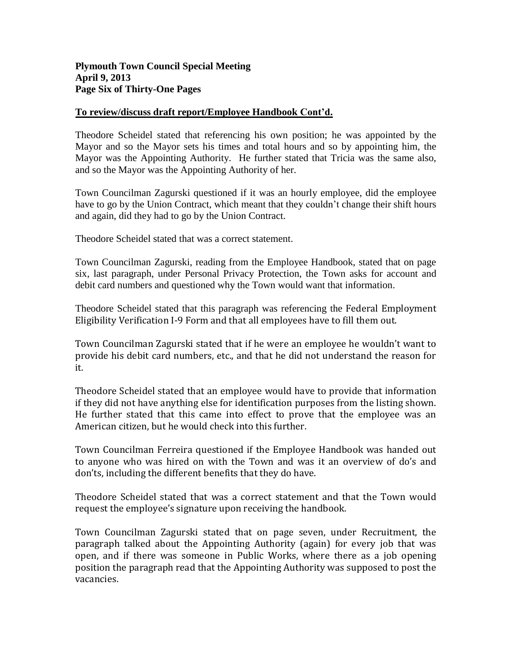# **Plymouth Town Council Special Meeting April 9, 2013 Page Six of Thirty-One Pages**

# **To review/discuss draft report/Employee Handbook Cont'd.**

Theodore Scheidel stated that referencing his own position; he was appointed by the Mayor and so the Mayor sets his times and total hours and so by appointing him, the Mayor was the Appointing Authority. He further stated that Tricia was the same also, and so the Mayor was the Appointing Authority of her.

Town Councilman Zagurski questioned if it was an hourly employee, did the employee have to go by the Union Contract, which meant that they couldn't change their shift hours and again, did they had to go by the Union Contract.

Theodore Scheidel stated that was a correct statement.

Town Councilman Zagurski, reading from the Employee Handbook, stated that on page six, last paragraph, under Personal Privacy Protection, the Town asks for account and debit card numbers and questioned why the Town would want that information.

Theodore Scheidel stated that this paragraph was referencing the Federal Employment Eligibility Verification I-9 Form and that all employees have to fill them out.

Town Councilman Zagurski stated that if he were an employee he wouldn't want to provide his debit card numbers, etc., and that he did not understand the reason for it.

Theodore Scheidel stated that an employee would have to provide that information if they did not have anything else for identification purposes from the listing shown. He further stated that this came into effect to prove that the employee was an American citizen, but he would check into this further.

Town Councilman Ferreira questioned if the Employee Handbook was handed out to anyone who was hired on with the Town and was it an overview of do's and don'ts, including the different benefits that they do have.

Theodore Scheidel stated that was a correct statement and that the Town would request the employee's signature upon receiving the handbook.

Town Councilman Zagurski stated that on page seven, under Recruitment, the paragraph talked about the Appointing Authority (again) for every job that was open, and if there was someone in Public Works, where there as a job opening position the paragraph read that the Appointing Authority was supposed to post the vacancies.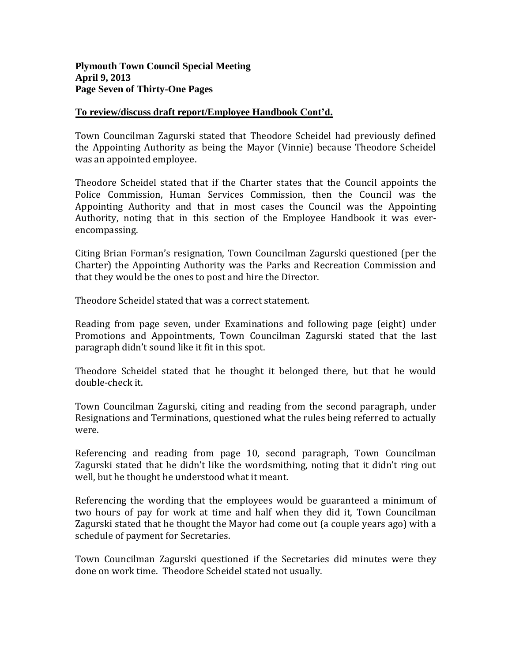# **Plymouth Town Council Special Meeting April 9, 2013 Page Seven of Thirty-One Pages**

# **To review/discuss draft report/Employee Handbook Cont'd.**

Town Councilman Zagurski stated that Theodore Scheidel had previously defined the Appointing Authority as being the Mayor (Vinnie) because Theodore Scheidel was an appointed employee.

Theodore Scheidel stated that if the Charter states that the Council appoints the Police Commission, Human Services Commission, then the Council was the Appointing Authority and that in most cases the Council was the Appointing Authority, noting that in this section of the Employee Handbook it was everencompassing.

Citing Brian Forman's resignation, Town Councilman Zagurski questioned (per the Charter) the Appointing Authority was the Parks and Recreation Commission and that they would be the ones to post and hire the Director.

Theodore Scheidel stated that was a correct statement.

Reading from page seven, under Examinations and following page (eight) under Promotions and Appointments, Town Councilman Zagurski stated that the last paragraph didn't sound like it fit in this spot.

Theodore Scheidel stated that he thought it belonged there, but that he would double-check it.

Town Councilman Zagurski, citing and reading from the second paragraph, under Resignations and Terminations, questioned what the rules being referred to actually were.

Referencing and reading from page 10, second paragraph, Town Councilman Zagurski stated that he didn't like the wordsmithing, noting that it didn't ring out well, but he thought he understood what it meant.

Referencing the wording that the employees would be guaranteed a minimum of two hours of pay for work at time and half when they did it, Town Councilman Zagurski stated that he thought the Mayor had come out (a couple years ago) with a schedule of payment for Secretaries.

Town Councilman Zagurski questioned if the Secretaries did minutes were they done on work time. Theodore Scheidel stated not usually.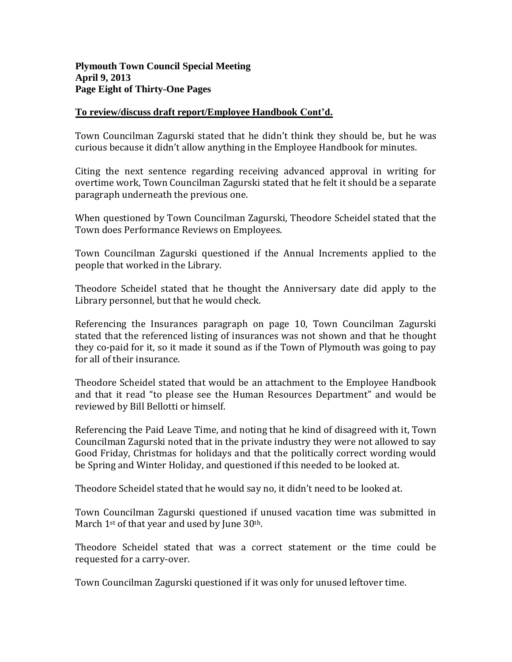# **To review/discuss draft report/Employee Handbook Cont'd.**

Town Councilman Zagurski stated that he didn't think they should be, but he was curious because it didn't allow anything in the Employee Handbook for minutes.

Citing the next sentence regarding receiving advanced approval in writing for overtime work, Town Councilman Zagurski stated that he felt it should be a separate paragraph underneath the previous one.

When questioned by Town Councilman Zagurski, Theodore Scheidel stated that the Town does Performance Reviews on Employees.

Town Councilman Zagurski questioned if the Annual Increments applied to the people that worked in the Library.

Theodore Scheidel stated that he thought the Anniversary date did apply to the Library personnel, but that he would check.

Referencing the Insurances paragraph on page 10, Town Councilman Zagurski stated that the referenced listing of insurances was not shown and that he thought they co-paid for it, so it made it sound as if the Town of Plymouth was going to pay for all of their insurance.

Theodore Scheidel stated that would be an attachment to the Employee Handbook and that it read "to please see the Human Resources Department" and would be reviewed by Bill Bellotti or himself.

Referencing the Paid Leave Time, and noting that he kind of disagreed with it, Town Councilman Zagurski noted that in the private industry they were not allowed to say Good Friday, Christmas for holidays and that the politically correct wording would be Spring and Winter Holiday, and questioned if this needed to be looked at.

Theodore Scheidel stated that he would say no, it didn't need to be looked at.

Town Councilman Zagurski questioned if unused vacation time was submitted in March 1<sup>st</sup> of that year and used by June 30<sup>th</sup>.

Theodore Scheidel stated that was a correct statement or the time could be requested for a carry-over.

Town Councilman Zagurski questioned if it was only for unused leftover time.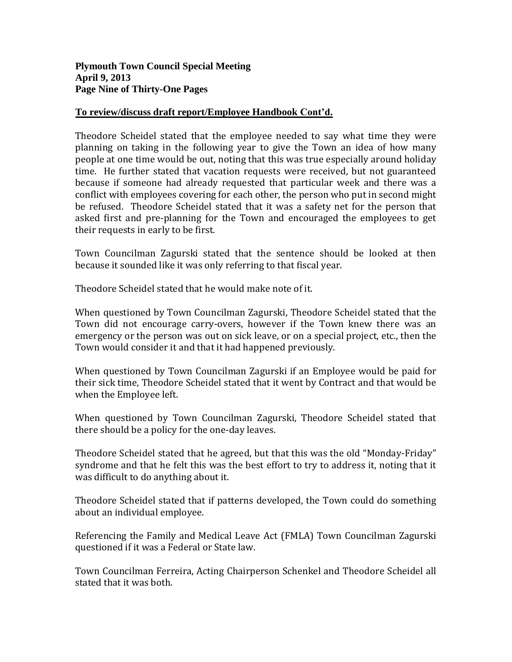# **To review/discuss draft report/Employee Handbook Cont'd.**

Theodore Scheidel stated that the employee needed to say what time they were planning on taking in the following year to give the Town an idea of how many people at one time would be out, noting that this was true especially around holiday time. He further stated that vacation requests were received, but not guaranteed because if someone had already requested that particular week and there was a conflict with employees covering for each other, the person who put in second might be refused. Theodore Scheidel stated that it was a safety net for the person that asked first and pre-planning for the Town and encouraged the employees to get their requests in early to be first.

Town Councilman Zagurski stated that the sentence should be looked at then because it sounded like it was only referring to that fiscal year.

Theodore Scheidel stated that he would make note of it.

When questioned by Town Councilman Zagurski, Theodore Scheidel stated that the Town did not encourage carry-overs, however if the Town knew there was an emergency or the person was out on sick leave, or on a special project, etc., then the Town would consider it and that it had happened previously.

When questioned by Town Councilman Zagurski if an Employee would be paid for their sick time, Theodore Scheidel stated that it went by Contract and that would be when the Employee left.

When questioned by Town Councilman Zagurski, Theodore Scheidel stated that there should be a policy for the one-day leaves.

Theodore Scheidel stated that he agreed, but that this was the old "Monday-Friday" syndrome and that he felt this was the best effort to try to address it, noting that it was difficult to do anything about it.

Theodore Scheidel stated that if patterns developed, the Town could do something about an individual employee.

Referencing the Family and Medical Leave Act (FMLA) Town Councilman Zagurski questioned if it was a Federal or State law.

Town Councilman Ferreira, Acting Chairperson Schenkel and Theodore Scheidel all stated that it was both.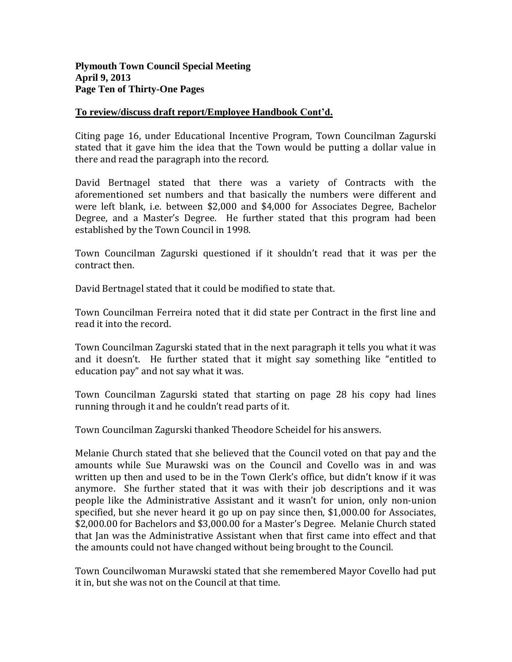# **To review/discuss draft report/Employee Handbook Cont'd.**

Citing page 16, under Educational Incentive Program, Town Councilman Zagurski stated that it gave him the idea that the Town would be putting a dollar value in there and read the paragraph into the record.

David Bertnagel stated that there was a variety of Contracts with the aforementioned set numbers and that basically the numbers were different and were left blank, i.e. between \$2,000 and \$4,000 for Associates Degree, Bachelor Degree, and a Master's Degree. He further stated that this program had been established by the Town Council in 1998.

Town Councilman Zagurski questioned if it shouldn't read that it was per the contract then.

David Bertnagel stated that it could be modified to state that.

Town Councilman Ferreira noted that it did state per Contract in the first line and read it into the record.

Town Councilman Zagurski stated that in the next paragraph it tells you what it was and it doesn't. He further stated that it might say something like "entitled to education pay" and not say what it was.

Town Councilman Zagurski stated that starting on page 28 his copy had lines running through it and he couldn't read parts of it.

Town Councilman Zagurski thanked Theodore Scheidel for his answers.

Melanie Church stated that she believed that the Council voted on that pay and the amounts while Sue Murawski was on the Council and Covello was in and was written up then and used to be in the Town Clerk's office, but didn't know if it was anymore. She further stated that it was with their job descriptions and it was people like the Administrative Assistant and it wasn't for union, only non-union specified, but she never heard it go up on pay since then, \$1,000.00 for Associates, \$2,000.00 for Bachelors and \$3,000.00 for a Master's Degree. Melanie Church stated that Jan was the Administrative Assistant when that first came into effect and that the amounts could not have changed without being brought to the Council.

Town Councilwoman Murawski stated that she remembered Mayor Covello had put it in, but she was not on the Council at that time.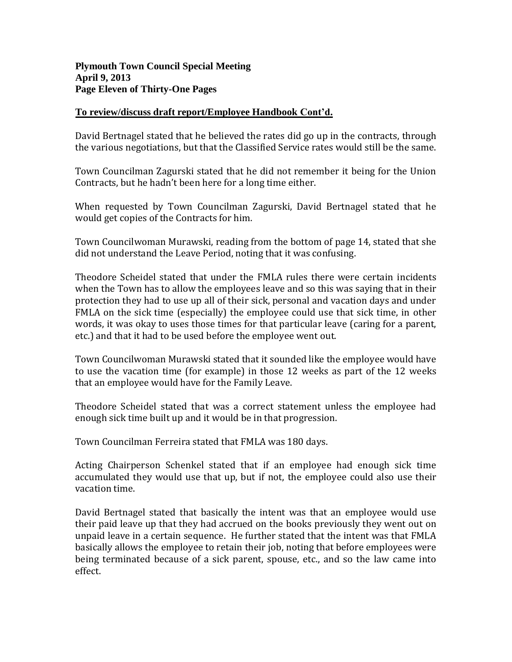# **Plymouth Town Council Special Meeting April 9, 2013 Page Eleven of Thirty-One Pages**

# **To review/discuss draft report/Employee Handbook Cont'd.**

David Bertnagel stated that he believed the rates did go up in the contracts, through the various negotiations, but that the Classified Service rates would still be the same.

Town Councilman Zagurski stated that he did not remember it being for the Union Contracts, but he hadn't been here for a long time either.

When requested by Town Councilman Zagurski, David Bertnagel stated that he would get copies of the Contracts for him.

Town Councilwoman Murawski, reading from the bottom of page 14, stated that she did not understand the Leave Period, noting that it was confusing.

Theodore Scheidel stated that under the FMLA rules there were certain incidents when the Town has to allow the employees leave and so this was saying that in their protection they had to use up all of their sick, personal and vacation days and under FMLA on the sick time (especially) the employee could use that sick time, in other words, it was okay to uses those times for that particular leave (caring for a parent, etc.) and that it had to be used before the employee went out.

Town Councilwoman Murawski stated that it sounded like the employee would have to use the vacation time (for example) in those 12 weeks as part of the 12 weeks that an employee would have for the Family Leave.

Theodore Scheidel stated that was a correct statement unless the employee had enough sick time built up and it would be in that progression.

Town Councilman Ferreira stated that FMLA was 180 days.

Acting Chairperson Schenkel stated that if an employee had enough sick time accumulated they would use that up, but if not, the employee could also use their vacation time.

David Bertnagel stated that basically the intent was that an employee would use their paid leave up that they had accrued on the books previously they went out on unpaid leave in a certain sequence. He further stated that the intent was that FMLA basically allows the employee to retain their job, noting that before employees were being terminated because of a sick parent, spouse, etc., and so the law came into effect.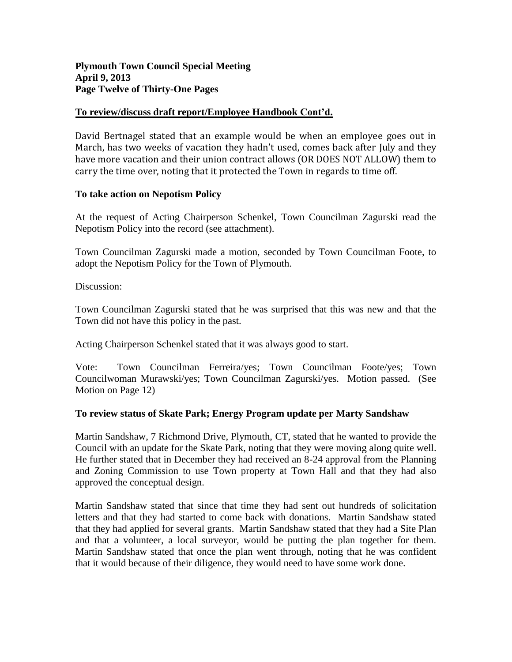# **Plymouth Town Council Special Meeting April 9, 2013 Page Twelve of Thirty-One Pages**

# **To review/discuss draft report/Employee Handbook Cont'd.**

David Bertnagel stated that an example would be when an employee goes out in March, has two weeks of vacation they hadn't used, comes back after July and they have more vacation and their union contract allows (OR DOES NOT ALLOW) them to carry the time over, noting that it protected the Town in regards to time off.

#### **To take action on Nepotism Policy**

At the request of Acting Chairperson Schenkel, Town Councilman Zagurski read the Nepotism Policy into the record (see attachment).

Town Councilman Zagurski made a motion, seconded by Town Councilman Foote, to adopt the Nepotism Policy for the Town of Plymouth.

#### Discussion:

Town Councilman Zagurski stated that he was surprised that this was new and that the Town did not have this policy in the past.

Acting Chairperson Schenkel stated that it was always good to start.

Vote: Town Councilman Ferreira/yes; Town Councilman Foote/yes; Town Councilwoman Murawski/yes; Town Councilman Zagurski/yes. Motion passed. (See Motion on Page 12)

#### **To review status of Skate Park; Energy Program update per Marty Sandshaw**

Martin Sandshaw, 7 Richmond Drive, Plymouth, CT, stated that he wanted to provide the Council with an update for the Skate Park, noting that they were moving along quite well. He further stated that in December they had received an 8-24 approval from the Planning and Zoning Commission to use Town property at Town Hall and that they had also approved the conceptual design.

Martin Sandshaw stated that since that time they had sent out hundreds of solicitation letters and that they had started to come back with donations. Martin Sandshaw stated that they had applied for several grants. Martin Sandshaw stated that they had a Site Plan and that a volunteer, a local surveyor, would be putting the plan together for them. Martin Sandshaw stated that once the plan went through, noting that he was confident that it would because of their diligence, they would need to have some work done.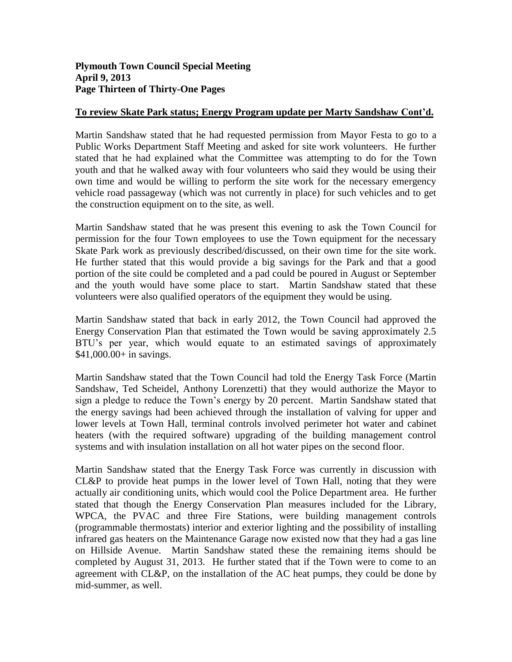# **To review Skate Park status; Energy Program update per Marty Sandshaw Cont'd.**

Martin Sandshaw stated that he had requested permission from Mayor Festa to go to a Public Works Department Staff Meeting and asked for site work volunteers. He further stated that he had explained what the Committee was attempting to do for the Town youth and that he walked away with four volunteers who said they would be using their own time and would be willing to perform the site work for the necessary emergency vehicle road passageway (which was not currently in place) for such vehicles and to get the construction equipment on to the site, as well.

Martin Sandshaw stated that he was present this evening to ask the Town Council for permission for the four Town employees to use the Town equipment for the necessary Skate Park work as previously described/discussed, on their own time for the site work. He further stated that this would provide a big savings for the Park and that a good portion of the site could be completed and a pad could be poured in August or September and the youth would have some place to start. Martin Sandshaw stated that these volunteers were also qualified operators of the equipment they would be using.

Martin Sandshaw stated that back in early 2012, the Town Council had approved the Energy Conservation Plan that estimated the Town would be saving approximately 2.5 BTU's per year, which would equate to an estimated savings of approximately \$41,000.00+ in savings.

Martin Sandshaw stated that the Town Council had told the Energy Task Force (Martin Sandshaw, Ted Scheidel, Anthony Lorenzetti) that they would authorize the Mayor to sign a pledge to reduce the Town's energy by 20 percent. Martin Sandshaw stated that the energy savings had been achieved through the installation of valving for upper and lower levels at Town Hall, terminal controls involved perimeter hot water and cabinet heaters (with the required software) upgrading of the building management control systems and with insulation installation on all hot water pipes on the second floor.

Martin Sandshaw stated that the Energy Task Force was currently in discussion with CL&P to provide heat pumps in the lower level of Town Hall, noting that they were actually air conditioning units, which would cool the Police Department area. He further stated that though the Energy Conservation Plan measures included for the Library, WPCA, the PVAC and three Fire Stations, were building management controls (programmable thermostats) interior and exterior lighting and the possibility of installing infrared gas heaters on the Maintenance Garage now existed now that they had a gas line on Hillside Avenue. Martin Sandshaw stated these the remaining items should be completed by August 31, 2013. He further stated that if the Town were to come to an agreement with CL&P, on the installation of the AC heat pumps, they could be done by mid-summer, as well.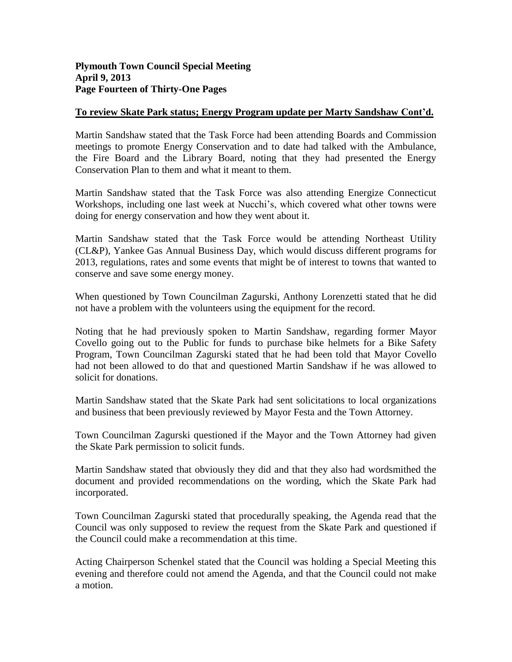# **To review Skate Park status; Energy Program update per Marty Sandshaw Cont'd.**

Martin Sandshaw stated that the Task Force had been attending Boards and Commission meetings to promote Energy Conservation and to date had talked with the Ambulance, the Fire Board and the Library Board, noting that they had presented the Energy Conservation Plan to them and what it meant to them.

Martin Sandshaw stated that the Task Force was also attending Energize Connecticut Workshops, including one last week at Nucchi's, which covered what other towns were doing for energy conservation and how they went about it.

Martin Sandshaw stated that the Task Force would be attending Northeast Utility (CL&P), Yankee Gas Annual Business Day, which would discuss different programs for 2013, regulations, rates and some events that might be of interest to towns that wanted to conserve and save some energy money.

When questioned by Town Councilman Zagurski, Anthony Lorenzetti stated that he did not have a problem with the volunteers using the equipment for the record.

Noting that he had previously spoken to Martin Sandshaw, regarding former Mayor Covello going out to the Public for funds to purchase bike helmets for a Bike Safety Program, Town Councilman Zagurski stated that he had been told that Mayor Covello had not been allowed to do that and questioned Martin Sandshaw if he was allowed to solicit for donations.

Martin Sandshaw stated that the Skate Park had sent solicitations to local organizations and business that been previously reviewed by Mayor Festa and the Town Attorney.

Town Councilman Zagurski questioned if the Mayor and the Town Attorney had given the Skate Park permission to solicit funds.

Martin Sandshaw stated that obviously they did and that they also had wordsmithed the document and provided recommendations on the wording, which the Skate Park had incorporated.

Town Councilman Zagurski stated that procedurally speaking, the Agenda read that the Council was only supposed to review the request from the Skate Park and questioned if the Council could make a recommendation at this time.

Acting Chairperson Schenkel stated that the Council was holding a Special Meeting this evening and therefore could not amend the Agenda, and that the Council could not make a motion.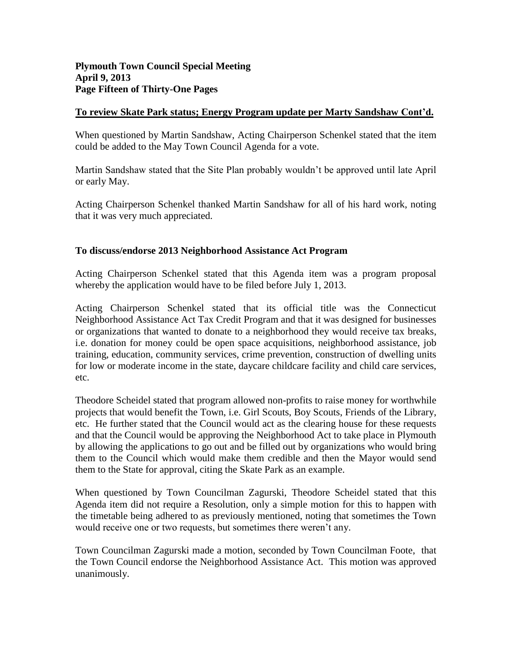# **To review Skate Park status; Energy Program update per Marty Sandshaw Cont'd.**

When questioned by Martin Sandshaw, Acting Chairperson Schenkel stated that the item could be added to the May Town Council Agenda for a vote.

Martin Sandshaw stated that the Site Plan probably wouldn't be approved until late April or early May.

Acting Chairperson Schenkel thanked Martin Sandshaw for all of his hard work, noting that it was very much appreciated.

# **To discuss/endorse 2013 Neighborhood Assistance Act Program**

Acting Chairperson Schenkel stated that this Agenda item was a program proposal whereby the application would have to be filed before July 1, 2013.

Acting Chairperson Schenkel stated that its official title was the Connecticut Neighborhood Assistance Act Tax Credit Program and that it was designed for businesses or organizations that wanted to donate to a neighborhood they would receive tax breaks, i.e. donation for money could be open space acquisitions, neighborhood assistance, job training, education, community services, crime prevention, construction of dwelling units for low or moderate income in the state, daycare childcare facility and child care services, etc.

Theodore Scheidel stated that program allowed non-profits to raise money for worthwhile projects that would benefit the Town, i.e. Girl Scouts, Boy Scouts, Friends of the Library, etc. He further stated that the Council would act as the clearing house for these requests and that the Council would be approving the Neighborhood Act to take place in Plymouth by allowing the applications to go out and be filled out by organizations who would bring them to the Council which would make them credible and then the Mayor would send them to the State for approval, citing the Skate Park as an example.

When questioned by Town Councilman Zagurski, Theodore Scheidel stated that this Agenda item did not require a Resolution, only a simple motion for this to happen with the timetable being adhered to as previously mentioned, noting that sometimes the Town would receive one or two requests, but sometimes there weren't any.

Town Councilman Zagurski made a motion, seconded by Town Councilman Foote, that the Town Council endorse the Neighborhood Assistance Act. This motion was approved unanimously.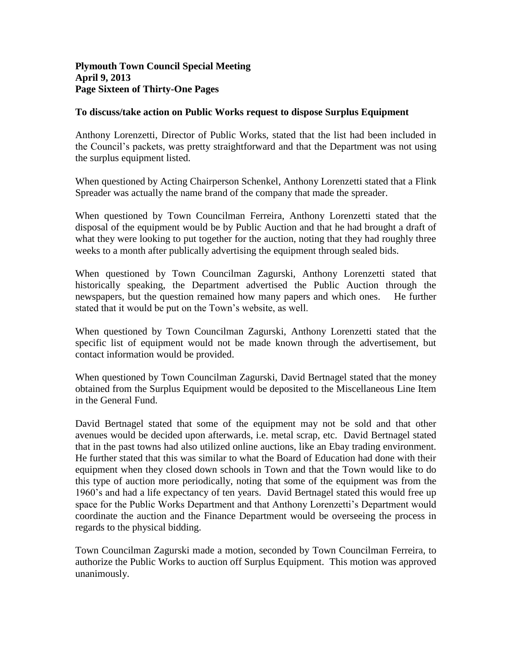### **Plymouth Town Council Special Meeting April 9, 2013 Page Sixteen of Thirty-One Pages**

### **To discuss/take action on Public Works request to dispose Surplus Equipment**

Anthony Lorenzetti, Director of Public Works, stated that the list had been included in the Council's packets, was pretty straightforward and that the Department was not using the surplus equipment listed.

When questioned by Acting Chairperson Schenkel, Anthony Lorenzetti stated that a Flink Spreader was actually the name brand of the company that made the spreader.

When questioned by Town Councilman Ferreira, Anthony Lorenzetti stated that the disposal of the equipment would be by Public Auction and that he had brought a draft of what they were looking to put together for the auction, noting that they had roughly three weeks to a month after publically advertising the equipment through sealed bids.

When questioned by Town Councilman Zagurski, Anthony Lorenzetti stated that historically speaking, the Department advertised the Public Auction through the newspapers, but the question remained how many papers and which ones. He further stated that it would be put on the Town's website, as well.

When questioned by Town Councilman Zagurski, Anthony Lorenzetti stated that the specific list of equipment would not be made known through the advertisement, but contact information would be provided.

When questioned by Town Councilman Zagurski, David Bertnagel stated that the money obtained from the Surplus Equipment would be deposited to the Miscellaneous Line Item in the General Fund.

David Bertnagel stated that some of the equipment may not be sold and that other avenues would be decided upon afterwards, i.e. metal scrap, etc. David Bertnagel stated that in the past towns had also utilized online auctions, like an Ebay trading environment. He further stated that this was similar to what the Board of Education had done with their equipment when they closed down schools in Town and that the Town would like to do this type of auction more periodically, noting that some of the equipment was from the 1960's and had a life expectancy of ten years. David Bertnagel stated this would free up space for the Public Works Department and that Anthony Lorenzetti's Department would coordinate the auction and the Finance Department would be overseeing the process in regards to the physical bidding.

Town Councilman Zagurski made a motion, seconded by Town Councilman Ferreira, to authorize the Public Works to auction off Surplus Equipment. This motion was approved unanimously.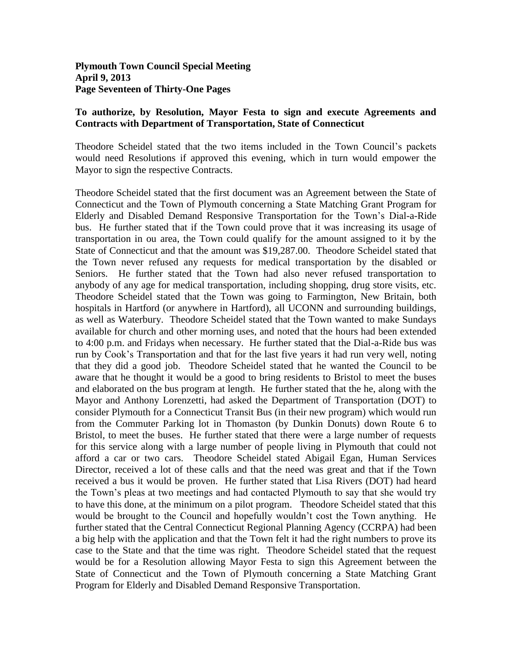**Plymouth Town Council Special Meeting April 9, 2013 Page Seventeen of Thirty-One Pages**

#### **To authorize, by Resolution, Mayor Festa to sign and execute Agreements and Contracts with Department of Transportation, State of Connecticut**

Theodore Scheidel stated that the two items included in the Town Council's packets would need Resolutions if approved this evening, which in turn would empower the Mayor to sign the respective Contracts.

Theodore Scheidel stated that the first document was an Agreement between the State of Connecticut and the Town of Plymouth concerning a State Matching Grant Program for Elderly and Disabled Demand Responsive Transportation for the Town's Dial-a-Ride bus. He further stated that if the Town could prove that it was increasing its usage of transportation in ou area, the Town could qualify for the amount assigned to it by the State of Connecticut and that the amount was \$19,287.00. Theodore Scheidel stated that the Town never refused any requests for medical transportation by the disabled or Seniors. He further stated that the Town had also never refused transportation to anybody of any age for medical transportation, including shopping, drug store visits, etc. Theodore Scheidel stated that the Town was going to Farmington, New Britain, both hospitals in Hartford (or anywhere in Hartford), all UCONN and surrounding buildings, as well as Waterbury. Theodore Scheidel stated that the Town wanted to make Sundays available for church and other morning uses, and noted that the hours had been extended to 4:00 p.m. and Fridays when necessary. He further stated that the Dial-a-Ride bus was run by Cook's Transportation and that for the last five years it had run very well, noting that they did a good job. Theodore Scheidel stated that he wanted the Council to be aware that he thought it would be a good to bring residents to Bristol to meet the buses and elaborated on the bus program at length. He further stated that the he, along with the Mayor and Anthony Lorenzetti, had asked the Department of Transportation (DOT) to consider Plymouth for a Connecticut Transit Bus (in their new program) which would run from the Commuter Parking lot in Thomaston (by Dunkin Donuts) down Route 6 to Bristol, to meet the buses. He further stated that there were a large number of requests for this service along with a large number of people living in Plymouth that could not afford a car or two cars. Theodore Scheidel stated Abigail Egan, Human Services Director, received a lot of these calls and that the need was great and that if the Town received a bus it would be proven. He further stated that Lisa Rivers (DOT) had heard the Town's pleas at two meetings and had contacted Plymouth to say that she would try to have this done, at the minimum on a pilot program. Theodore Scheidel stated that this would be brought to the Council and hopefully wouldn't cost the Town anything. He further stated that the Central Connecticut Regional Planning Agency (CCRPA) had been a big help with the application and that the Town felt it had the right numbers to prove its case to the State and that the time was right. Theodore Scheidel stated that the request would be for a Resolution allowing Mayor Festa to sign this Agreement between the State of Connecticut and the Town of Plymouth concerning a State Matching Grant Program for Elderly and Disabled Demand Responsive Transportation.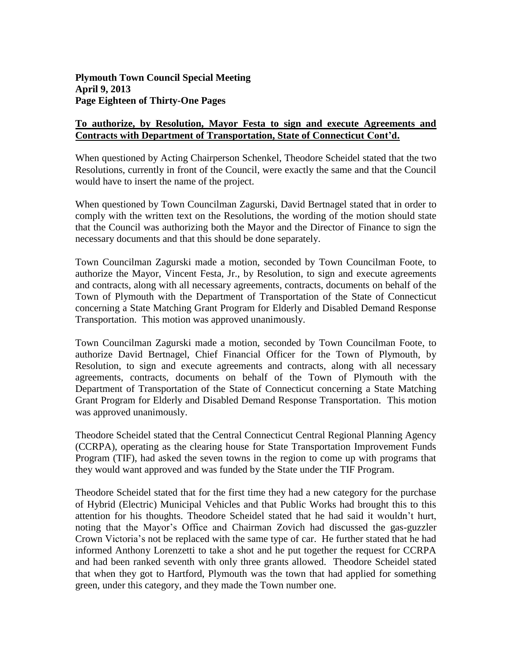# **To authorize, by Resolution, Mayor Festa to sign and execute Agreements and Contracts with Department of Transportation, State of Connecticut Cont'd.**

When questioned by Acting Chairperson Schenkel, Theodore Scheidel stated that the two Resolutions, currently in front of the Council, were exactly the same and that the Council would have to insert the name of the project.

When questioned by Town Councilman Zagurski, David Bertnagel stated that in order to comply with the written text on the Resolutions, the wording of the motion should state that the Council was authorizing both the Mayor and the Director of Finance to sign the necessary documents and that this should be done separately.

Town Councilman Zagurski made a motion, seconded by Town Councilman Foote, to authorize the Mayor, Vincent Festa, Jr., by Resolution, to sign and execute agreements and contracts, along with all necessary agreements, contracts, documents on behalf of the Town of Plymouth with the Department of Transportation of the State of Connecticut concerning a State Matching Grant Program for Elderly and Disabled Demand Response Transportation. This motion was approved unanimously.

Town Councilman Zagurski made a motion, seconded by Town Councilman Foote, to authorize David Bertnagel, Chief Financial Officer for the Town of Plymouth, by Resolution, to sign and execute agreements and contracts, along with all necessary agreements, contracts, documents on behalf of the Town of Plymouth with the Department of Transportation of the State of Connecticut concerning a State Matching Grant Program for Elderly and Disabled Demand Response Transportation. This motion was approved unanimously.

Theodore Scheidel stated that the Central Connecticut Central Regional Planning Agency (CCRPA), operating as the clearing house for State Transportation Improvement Funds Program (TIF), had asked the seven towns in the region to come up with programs that they would want approved and was funded by the State under the TIF Program.

Theodore Scheidel stated that for the first time they had a new category for the purchase of Hybrid (Electric) Municipal Vehicles and that Public Works had brought this to this attention for his thoughts. Theodore Scheidel stated that he had said it wouldn't hurt, noting that the Mayor's Office and Chairman Zovich had discussed the gas-guzzler Crown Victoria's not be replaced with the same type of car. He further stated that he had informed Anthony Lorenzetti to take a shot and he put together the request for CCRPA and had been ranked seventh with only three grants allowed. Theodore Scheidel stated that when they got to Hartford, Plymouth was the town that had applied for something green, under this category, and they made the Town number one.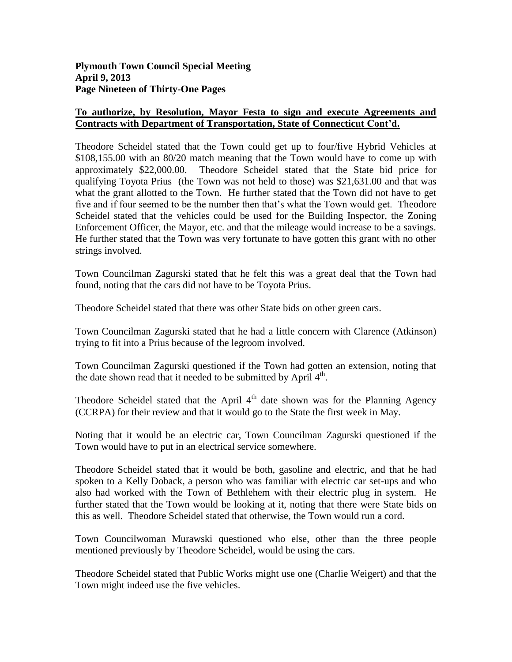# **To authorize, by Resolution, Mayor Festa to sign and execute Agreements and Contracts with Department of Transportation, State of Connecticut Cont'd.**

Theodore Scheidel stated that the Town could get up to four/five Hybrid Vehicles at \$108,155.00 with an 80/20 match meaning that the Town would have to come up with approximately \$22,000.00. Theodore Scheidel stated that the State bid price for qualifying Toyota Prius (the Town was not held to those) was \$21,631.00 and that was what the grant allotted to the Town. He further stated that the Town did not have to get five and if four seemed to be the number then that's what the Town would get. Theodore Scheidel stated that the vehicles could be used for the Building Inspector, the Zoning Enforcement Officer, the Mayor, etc. and that the mileage would increase to be a savings. He further stated that the Town was very fortunate to have gotten this grant with no other strings involved.

Town Councilman Zagurski stated that he felt this was a great deal that the Town had found, noting that the cars did not have to be Toyota Prius.

Theodore Scheidel stated that there was other State bids on other green cars.

Town Councilman Zagurski stated that he had a little concern with Clarence (Atkinson) trying to fit into a Prius because of the legroom involved.

Town Councilman Zagurski questioned if the Town had gotten an extension, noting that the date shown read that it needed to be submitted by April  $4<sup>th</sup>$ .

Theodore Scheidel stated that the April  $4<sup>th</sup>$  date shown was for the Planning Agency (CCRPA) for their review and that it would go to the State the first week in May.

Noting that it would be an electric car, Town Councilman Zagurski questioned if the Town would have to put in an electrical service somewhere.

Theodore Scheidel stated that it would be both, gasoline and electric, and that he had spoken to a Kelly Doback, a person who was familiar with electric car set-ups and who also had worked with the Town of Bethlehem with their electric plug in system. He further stated that the Town would be looking at it, noting that there were State bids on this as well. Theodore Scheidel stated that otherwise, the Town would run a cord.

Town Councilwoman Murawski questioned who else, other than the three people mentioned previously by Theodore Scheidel, would be using the cars.

Theodore Scheidel stated that Public Works might use one (Charlie Weigert) and that the Town might indeed use the five vehicles.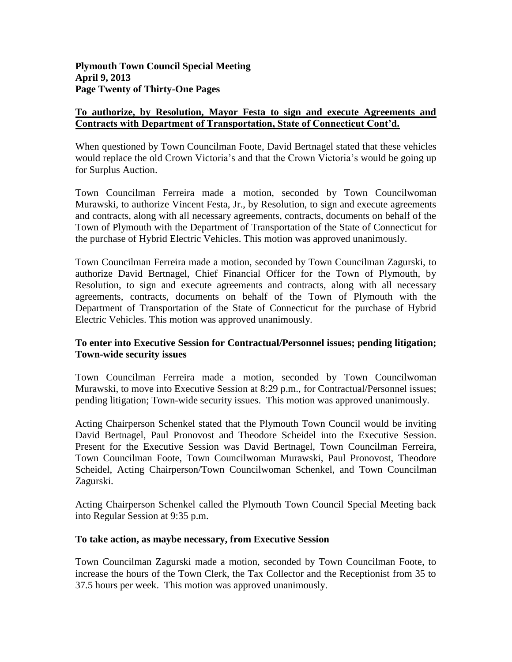# **To authorize, by Resolution, Mayor Festa to sign and execute Agreements and Contracts with Department of Transportation, State of Connecticut Cont'd.**

When questioned by Town Councilman Foote, David Bertnagel stated that these vehicles would replace the old Crown Victoria's and that the Crown Victoria's would be going up for Surplus Auction.

Town Councilman Ferreira made a motion, seconded by Town Councilwoman Murawski, to authorize Vincent Festa, Jr., by Resolution, to sign and execute agreements and contracts, along with all necessary agreements, contracts, documents on behalf of the Town of Plymouth with the Department of Transportation of the State of Connecticut for the purchase of Hybrid Electric Vehicles. This motion was approved unanimously.

Town Councilman Ferreira made a motion, seconded by Town Councilman Zagurski, to authorize David Bertnagel, Chief Financial Officer for the Town of Plymouth, by Resolution, to sign and execute agreements and contracts, along with all necessary agreements, contracts, documents on behalf of the Town of Plymouth with the Department of Transportation of the State of Connecticut for the purchase of Hybrid Electric Vehicles. This motion was approved unanimously.

# **To enter into Executive Session for Contractual/Personnel issues; pending litigation; Town-wide security issues**

Town Councilman Ferreira made a motion, seconded by Town Councilwoman Murawski, to move into Executive Session at 8:29 p.m., for Contractual/Personnel issues; pending litigation; Town-wide security issues. This motion was approved unanimously.

Acting Chairperson Schenkel stated that the Plymouth Town Council would be inviting David Bertnagel, Paul Pronovost and Theodore Scheidel into the Executive Session. Present for the Executive Session was David Bertnagel, Town Councilman Ferreira, Town Councilman Foote, Town Councilwoman Murawski, Paul Pronovost, Theodore Scheidel, Acting Chairperson/Town Councilwoman Schenkel, and Town Councilman Zagurski.

Acting Chairperson Schenkel called the Plymouth Town Council Special Meeting back into Regular Session at 9:35 p.m.

# **To take action, as maybe necessary, from Executive Session**

Town Councilman Zagurski made a motion, seconded by Town Councilman Foote, to increase the hours of the Town Clerk, the Tax Collector and the Receptionist from 35 to 37.5 hours per week. This motion was approved unanimously.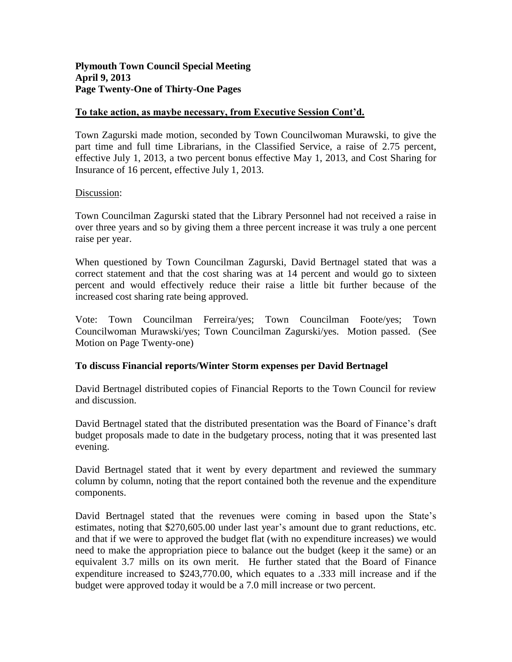# **Plymouth Town Council Special Meeting April 9, 2013 Page Twenty-One of Thirty-One Pages**

# **To take action, as maybe necessary, from Executive Session Cont'd.**

Town Zagurski made motion, seconded by Town Councilwoman Murawski, to give the part time and full time Librarians, in the Classified Service, a raise of 2.75 percent, effective July 1, 2013, a two percent bonus effective May 1, 2013, and Cost Sharing for Insurance of 16 percent, effective July 1, 2013.

#### Discussion:

Town Councilman Zagurski stated that the Library Personnel had not received a raise in over three years and so by giving them a three percent increase it was truly a one percent raise per year.

When questioned by Town Councilman Zagurski, David Bertnagel stated that was a correct statement and that the cost sharing was at 14 percent and would go to sixteen percent and would effectively reduce their raise a little bit further because of the increased cost sharing rate being approved.

Vote: Town Councilman Ferreira/yes; Town Councilman Foote/yes; Town Councilwoman Murawski/yes; Town Councilman Zagurski/yes. Motion passed. (See Motion on Page Twenty-one)

# **To discuss Financial reports/Winter Storm expenses per David Bertnagel**

David Bertnagel distributed copies of Financial Reports to the Town Council for review and discussion.

David Bertnagel stated that the distributed presentation was the Board of Finance's draft budget proposals made to date in the budgetary process, noting that it was presented last evening.

David Bertnagel stated that it went by every department and reviewed the summary column by column, noting that the report contained both the revenue and the expenditure components.

David Bertnagel stated that the revenues were coming in based upon the State's estimates, noting that \$270,605.00 under last year's amount due to grant reductions, etc. and that if we were to approved the budget flat (with no expenditure increases) we would need to make the appropriation piece to balance out the budget (keep it the same) or an equivalent 3.7 mills on its own merit. He further stated that the Board of Finance expenditure increased to \$243,770.00, which equates to a .333 mill increase and if the budget were approved today it would be a 7.0 mill increase or two percent.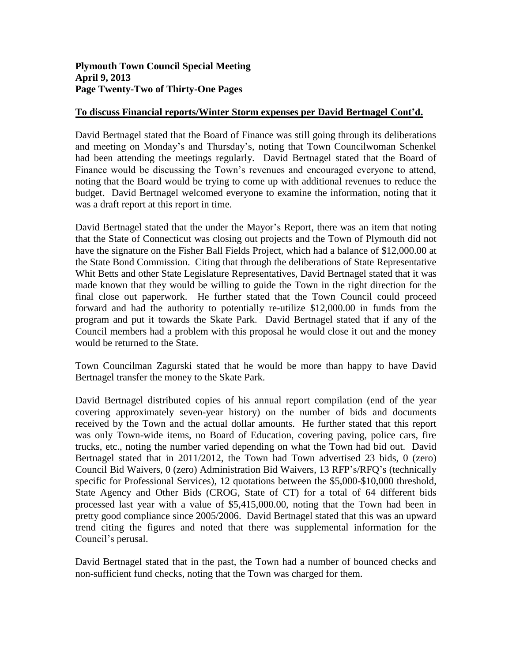# **Plymouth Town Council Special Meeting April 9, 2013 Page Twenty-Two of Thirty-One Pages**

#### **To discuss Financial reports/Winter Storm expenses per David Bertnagel Cont'd.**

David Bertnagel stated that the Board of Finance was still going through its deliberations and meeting on Monday's and Thursday's, noting that Town Councilwoman Schenkel had been attending the meetings regularly. David Bertnagel stated that the Board of Finance would be discussing the Town's revenues and encouraged everyone to attend, noting that the Board would be trying to come up with additional revenues to reduce the budget. David Bertnagel welcomed everyone to examine the information, noting that it was a draft report at this report in time.

David Bertnagel stated that the under the Mayor's Report, there was an item that noting that the State of Connecticut was closing out projects and the Town of Plymouth did not have the signature on the Fisher Ball Fields Project, which had a balance of \$12,000.00 at the State Bond Commission. Citing that through the deliberations of State Representative Whit Betts and other State Legislature Representatives, David Bertnagel stated that it was made known that they would be willing to guide the Town in the right direction for the final close out paperwork. He further stated that the Town Council could proceed forward and had the authority to potentially re-utilize \$12,000.00 in funds from the program and put it towards the Skate Park. David Bertnagel stated that if any of the Council members had a problem with this proposal he would close it out and the money would be returned to the State.

Town Councilman Zagurski stated that he would be more than happy to have David Bertnagel transfer the money to the Skate Park.

David Bertnagel distributed copies of his annual report compilation (end of the year covering approximately seven-year history) on the number of bids and documents received by the Town and the actual dollar amounts. He further stated that this report was only Town-wide items, no Board of Education, covering paving, police cars, fire trucks, etc., noting the number varied depending on what the Town had bid out. David Bertnagel stated that in 2011/2012, the Town had Town advertised 23 bids, 0 (zero) Council Bid Waivers, 0 (zero) Administration Bid Waivers, 13 RFP's/RFQ's (technically specific for Professional Services), 12 quotations between the \$5,000-\$10,000 threshold, State Agency and Other Bids (CROG, State of CT) for a total of 64 different bids processed last year with a value of \$5,415,000.00, noting that the Town had been in pretty good compliance since 2005/2006. David Bertnagel stated that this was an upward trend citing the figures and noted that there was supplemental information for the Council's perusal.

David Bertnagel stated that in the past, the Town had a number of bounced checks and non-sufficient fund checks, noting that the Town was charged for them.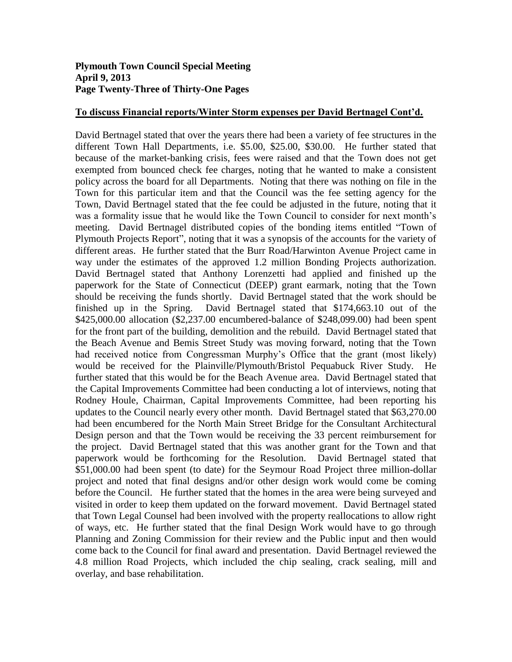### **Plymouth Town Council Special Meeting April 9, 2013 Page Twenty-Three of Thirty-One Pages**

# **To discuss Financial reports/Winter Storm expenses per David Bertnagel Cont'd.**

David Bertnagel stated that over the years there had been a variety of fee structures in the different Town Hall Departments, i.e. \$5.00, \$25.00, \$30.00. He further stated that because of the market-banking crisis, fees were raised and that the Town does not get exempted from bounced check fee charges, noting that he wanted to make a consistent policy across the board for all Departments. Noting that there was nothing on file in the Town for this particular item and that the Council was the fee setting agency for the Town, David Bertnagel stated that the fee could be adjusted in the future, noting that it was a formality issue that he would like the Town Council to consider for next month's meeting. David Bertnagel distributed copies of the bonding items entitled "Town of Plymouth Projects Report", noting that it was a synopsis of the accounts for the variety of different areas. He further stated that the Burr Road/Harwinton Avenue Project came in way under the estimates of the approved 1.2 million Bonding Projects authorization. David Bertnagel stated that Anthony Lorenzetti had applied and finished up the paperwork for the State of Connecticut (DEEP) grant earmark, noting that the Town should be receiving the funds shortly. David Bertnagel stated that the work should be finished up in the Spring. David Bertnagel stated that \$174,663.10 out of the \$425,000.00 allocation (\$2,237.00 encumbered-balance of \$248,099.00) had been spent for the front part of the building, demolition and the rebuild. David Bertnagel stated that the Beach Avenue and Bemis Street Study was moving forward, noting that the Town had received notice from Congressman Murphy's Office that the grant (most likely) would be received for the Plainville/Plymouth/Bristol Pequabuck River Study. He further stated that this would be for the Beach Avenue area. David Bertnagel stated that the Capital Improvements Committee had been conducting a lot of interviews, noting that Rodney Houle, Chairman, Capital Improvements Committee, had been reporting his updates to the Council nearly every other month. David Bertnagel stated that \$63,270.00 had been encumbered for the North Main Street Bridge for the Consultant Architectural Design person and that the Town would be receiving the 33 percent reimbursement for the project. David Bertnagel stated that this was another grant for the Town and that paperwork would be forthcoming for the Resolution. David Bertnagel stated that \$51,000.00 had been spent (to date) for the Seymour Road Project three million-dollar project and noted that final designs and/or other design work would come be coming before the Council. He further stated that the homes in the area were being surveyed and visited in order to keep them updated on the forward movement. David Bertnagel stated that Town Legal Counsel had been involved with the property reallocations to allow right of ways, etc. He further stated that the final Design Work would have to go through Planning and Zoning Commission for their review and the Public input and then would come back to the Council for final award and presentation. David Bertnagel reviewed the 4.8 million Road Projects, which included the chip sealing, crack sealing, mill and overlay, and base rehabilitation.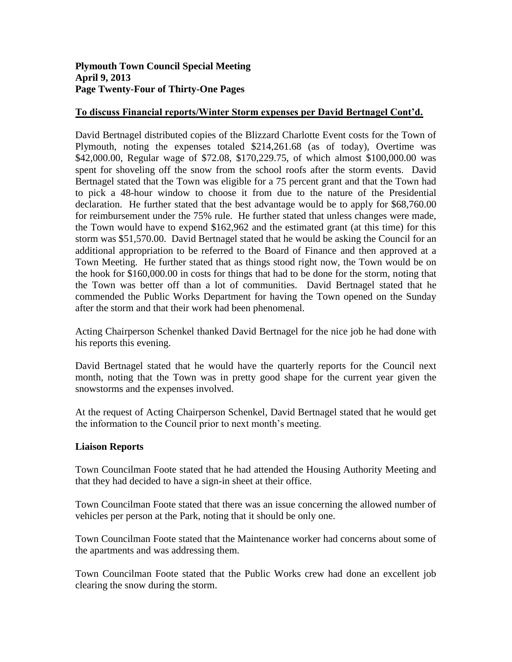# **Plymouth Town Council Special Meeting April 9, 2013 Page Twenty-Four of Thirty-One Pages**

### **To discuss Financial reports/Winter Storm expenses per David Bertnagel Cont'd.**

David Bertnagel distributed copies of the Blizzard Charlotte Event costs for the Town of Plymouth, noting the expenses totaled \$214,261.68 (as of today), Overtime was \$42,000.00, Regular wage of \$72.08, \$170,229.75, of which almost \$100,000.00 was spent for shoveling off the snow from the school roofs after the storm events. David Bertnagel stated that the Town was eligible for a 75 percent grant and that the Town had to pick a 48-hour window to choose it from due to the nature of the Presidential declaration. He further stated that the best advantage would be to apply for \$68,760.00 for reimbursement under the 75% rule. He further stated that unless changes were made, the Town would have to expend \$162,962 and the estimated grant (at this time) for this storm was \$51,570.00. David Bertnagel stated that he would be asking the Council for an additional appropriation to be referred to the Board of Finance and then approved at a Town Meeting. He further stated that as things stood right now, the Town would be on the hook for \$160,000.00 in costs for things that had to be done for the storm, noting that the Town was better off than a lot of communities. David Bertnagel stated that he commended the Public Works Department for having the Town opened on the Sunday after the storm and that their work had been phenomenal.

Acting Chairperson Schenkel thanked David Bertnagel for the nice job he had done with his reports this evening.

David Bertnagel stated that he would have the quarterly reports for the Council next month, noting that the Town was in pretty good shape for the current year given the snowstorms and the expenses involved.

At the request of Acting Chairperson Schenkel, David Bertnagel stated that he would get the information to the Council prior to next month's meeting.

#### **Liaison Reports**

Town Councilman Foote stated that he had attended the Housing Authority Meeting and that they had decided to have a sign-in sheet at their office.

Town Councilman Foote stated that there was an issue concerning the allowed number of vehicles per person at the Park, noting that it should be only one.

Town Councilman Foote stated that the Maintenance worker had concerns about some of the apartments and was addressing them.

Town Councilman Foote stated that the Public Works crew had done an excellent job clearing the snow during the storm.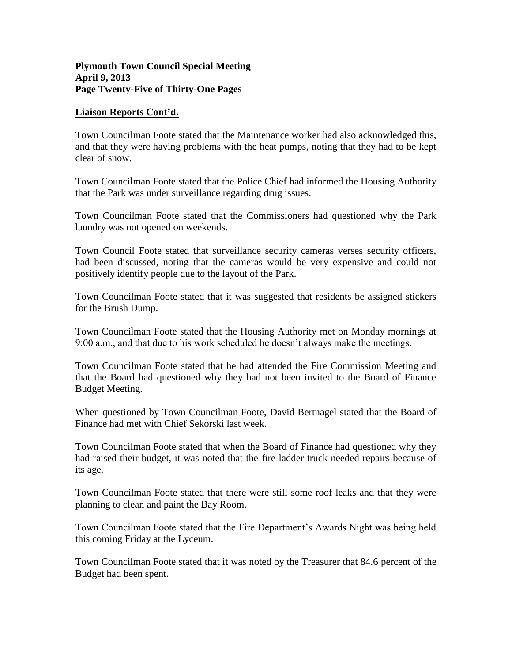### **Plymouth Town Council Special Meeting April 9, 2013 Page Twenty-Five of Thirty-One Pages**

#### **Liaison Reports Cont'd.**

Town Councilman Foote stated that the Maintenance worker had also acknowledged this, and that they were having problems with the heat pumps, noting that they had to be kept clear of snow.

Town Councilman Foote stated that the Police Chief had informed the Housing Authority that the Park was under surveillance regarding drug issues.

Town Councilman Foote stated that the Commissioners had questioned why the Park laundry was not opened on weekends.

Town Council Foote stated that surveillance security cameras verses security officers, had been discussed, noting that the cameras would be very expensive and could not positively identify people due to the layout of the Park.

Town Councilman Foote stated that it was suggested that residents be assigned stickers for the Brush Dump.

Town Councilman Foote stated that the Housing Authority met on Monday mornings at 9:00 a.m., and that due to his work scheduled he doesn't always make the meetings.

Town Councilman Foote stated that he had attended the Fire Commission Meeting and that the Board had questioned why they had not been invited to the Board of Finance Budget Meeting.

When questioned by Town Councilman Foote, David Bertnagel stated that the Board of Finance had met with Chief Sekorski last week.

Town Councilman Foote stated that when the Board of Finance had questioned why they had raised their budget, it was noted that the fire ladder truck needed repairs because of its age.

Town Councilman Foote stated that there were still some roof leaks and that they were planning to clean and paint the Bay Room.

Town Councilman Foote stated that the Fire Department's Awards Night was being held this coming Friday at the Lyceum.

Town Councilman Foote stated that it was noted by the Treasurer that 84.6 percent of the Budget had been spent.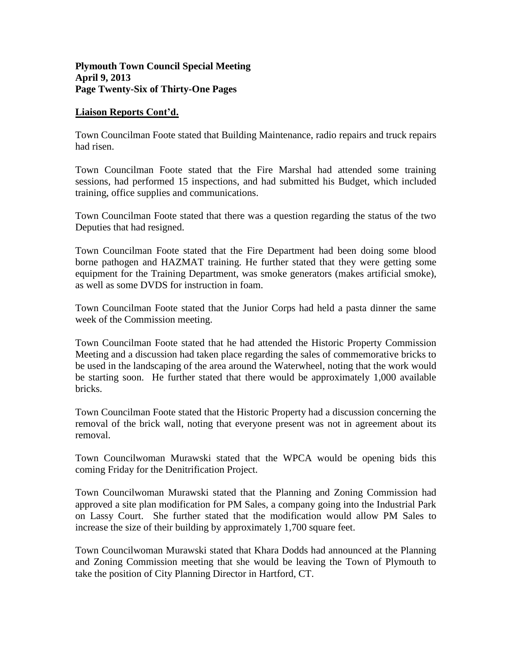### **Plymouth Town Council Special Meeting April 9, 2013 Page Twenty-Six of Thirty-One Pages**

#### **Liaison Reports Cont'd.**

Town Councilman Foote stated that Building Maintenance, radio repairs and truck repairs had risen.

Town Councilman Foote stated that the Fire Marshal had attended some training sessions, had performed 15 inspections, and had submitted his Budget, which included training, office supplies and communications.

Town Councilman Foote stated that there was a question regarding the status of the two Deputies that had resigned.

Town Councilman Foote stated that the Fire Department had been doing some blood borne pathogen and HAZMAT training. He further stated that they were getting some equipment for the Training Department, was smoke generators (makes artificial smoke), as well as some DVDS for instruction in foam.

Town Councilman Foote stated that the Junior Corps had held a pasta dinner the same week of the Commission meeting.

Town Councilman Foote stated that he had attended the Historic Property Commission Meeting and a discussion had taken place regarding the sales of commemorative bricks to be used in the landscaping of the area around the Waterwheel, noting that the work would be starting soon. He further stated that there would be approximately 1,000 available bricks.

Town Councilman Foote stated that the Historic Property had a discussion concerning the removal of the brick wall, noting that everyone present was not in agreement about its removal.

Town Councilwoman Murawski stated that the WPCA would be opening bids this coming Friday for the Denitrification Project.

Town Councilwoman Murawski stated that the Planning and Zoning Commission had approved a site plan modification for PM Sales, a company going into the Industrial Park on Lassy Court. She further stated that the modification would allow PM Sales to increase the size of their building by approximately 1,700 square feet.

Town Councilwoman Murawski stated that Khara Dodds had announced at the Planning and Zoning Commission meeting that she would be leaving the Town of Plymouth to take the position of City Planning Director in Hartford, CT.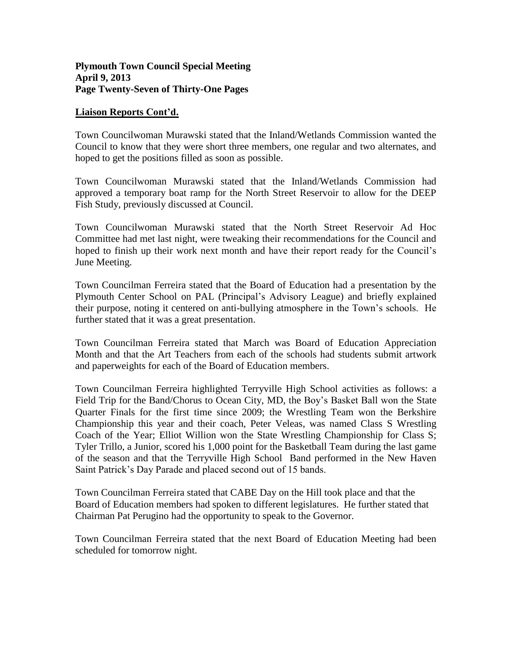### **Plymouth Town Council Special Meeting April 9, 2013 Page Twenty-Seven of Thirty-One Pages**

#### **Liaison Reports Cont'd.**

Town Councilwoman Murawski stated that the Inland/Wetlands Commission wanted the Council to know that they were short three members, one regular and two alternates, and hoped to get the positions filled as soon as possible.

Town Councilwoman Murawski stated that the Inland/Wetlands Commission had approved a temporary boat ramp for the North Street Reservoir to allow for the DEEP Fish Study, previously discussed at Council.

Town Councilwoman Murawski stated that the North Street Reservoir Ad Hoc Committee had met last night, were tweaking their recommendations for the Council and hoped to finish up their work next month and have their report ready for the Council's June Meeting.

Town Councilman Ferreira stated that the Board of Education had a presentation by the Plymouth Center School on PAL (Principal's Advisory League) and briefly explained their purpose, noting it centered on anti-bullying atmosphere in the Town's schools. He further stated that it was a great presentation.

Town Councilman Ferreira stated that March was Board of Education Appreciation Month and that the Art Teachers from each of the schools had students submit artwork and paperweights for each of the Board of Education members.

Town Councilman Ferreira highlighted Terryville High School activities as follows: a Field Trip for the Band/Chorus to Ocean City, MD, the Boy's Basket Ball won the State Quarter Finals for the first time since 2009; the Wrestling Team won the Berkshire Championship this year and their coach, Peter Veleas, was named Class S Wrestling Coach of the Year; Elliot Willion won the State Wrestling Championship for Class S; Tyler Trillo, a Junior, scored his 1,000 point for the Basketball Team during the last game of the season and that the Terryville High School Band performed in the New Haven Saint Patrick's Day Parade and placed second out of 15 bands.

Town Councilman Ferreira stated that CABE Day on the Hill took place and that the Board of Education members had spoken to different legislatures. He further stated that Chairman Pat Perugino had the opportunity to speak to the Governor.

Town Councilman Ferreira stated that the next Board of Education Meeting had been scheduled for tomorrow night.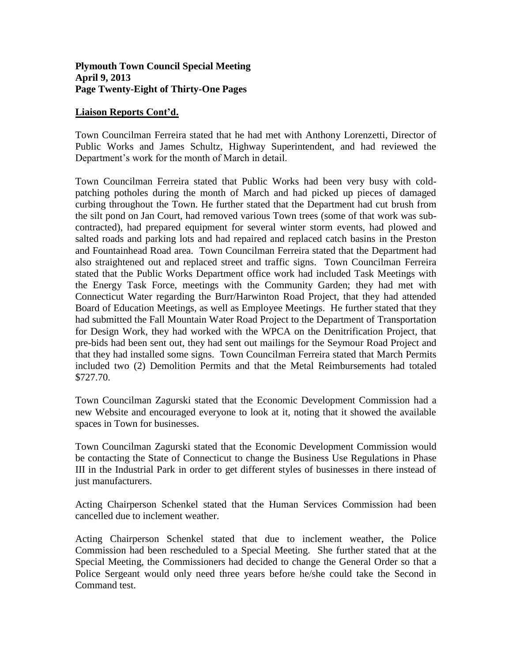### **Liaison Reports Cont'd.**

Town Councilman Ferreira stated that he had met with Anthony Lorenzetti, Director of Public Works and James Schultz, Highway Superintendent, and had reviewed the Department's work for the month of March in detail.

Town Councilman Ferreira stated that Public Works had been very busy with coldpatching potholes during the month of March and had picked up pieces of damaged curbing throughout the Town. He further stated that the Department had cut brush from the silt pond on Jan Court, had removed various Town trees (some of that work was subcontracted), had prepared equipment for several winter storm events, had plowed and salted roads and parking lots and had repaired and replaced catch basins in the Preston and Fountainhead Road area. Town Councilman Ferreira stated that the Department had also straightened out and replaced street and traffic signs. Town Councilman Ferreira stated that the Public Works Department office work had included Task Meetings with the Energy Task Force, meetings with the Community Garden; they had met with Connecticut Water regarding the Burr/Harwinton Road Project, that they had attended Board of Education Meetings, as well as Employee Meetings. He further stated that they had submitted the Fall Mountain Water Road Project to the Department of Transportation for Design Work, they had worked with the WPCA on the Denitrification Project, that pre-bids had been sent out, they had sent out mailings for the Seymour Road Project and that they had installed some signs. Town Councilman Ferreira stated that March Permits included two (2) Demolition Permits and that the Metal Reimbursements had totaled \$727.70.

Town Councilman Zagurski stated that the Economic Development Commission had a new Website and encouraged everyone to look at it, noting that it showed the available spaces in Town for businesses.

Town Councilman Zagurski stated that the Economic Development Commission would be contacting the State of Connecticut to change the Business Use Regulations in Phase III in the Industrial Park in order to get different styles of businesses in there instead of just manufacturers.

Acting Chairperson Schenkel stated that the Human Services Commission had been cancelled due to inclement weather.

Acting Chairperson Schenkel stated that due to inclement weather, the Police Commission had been rescheduled to a Special Meeting. She further stated that at the Special Meeting, the Commissioners had decided to change the General Order so that a Police Sergeant would only need three years before he/she could take the Second in Command test.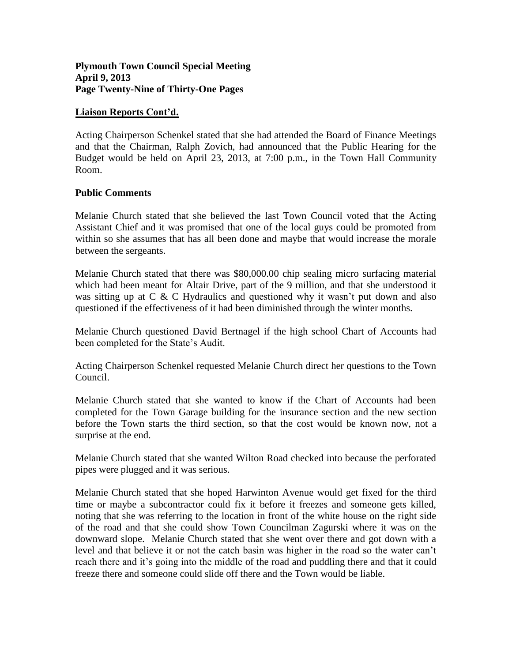### **Plymouth Town Council Special Meeting April 9, 2013 Page Twenty-Nine of Thirty-One Pages**

### **Liaison Reports Cont'd.**

Acting Chairperson Schenkel stated that she had attended the Board of Finance Meetings and that the Chairman, Ralph Zovich, had announced that the Public Hearing for the Budget would be held on April 23, 2013, at 7:00 p.m., in the Town Hall Community Room.

#### **Public Comments**

Melanie Church stated that she believed the last Town Council voted that the Acting Assistant Chief and it was promised that one of the local guys could be promoted from within so she assumes that has all been done and maybe that would increase the morale between the sergeants.

Melanie Church stated that there was \$80,000.00 chip sealing micro surfacing material which had been meant for Altair Drive, part of the 9 million, and that she understood it was sitting up at C & C Hydraulics and questioned why it wasn't put down and also questioned if the effectiveness of it had been diminished through the winter months.

Melanie Church questioned David Bertnagel if the high school Chart of Accounts had been completed for the State's Audit.

Acting Chairperson Schenkel requested Melanie Church direct her questions to the Town Council.

Melanie Church stated that she wanted to know if the Chart of Accounts had been completed for the Town Garage building for the insurance section and the new section before the Town starts the third section, so that the cost would be known now, not a surprise at the end.

Melanie Church stated that she wanted Wilton Road checked into because the perforated pipes were plugged and it was serious.

Melanie Church stated that she hoped Harwinton Avenue would get fixed for the third time or maybe a subcontractor could fix it before it freezes and someone gets killed, noting that she was referring to the location in front of the white house on the right side of the road and that she could show Town Councilman Zagurski where it was on the downward slope. Melanie Church stated that she went over there and got down with a level and that believe it or not the catch basin was higher in the road so the water can't reach there and it's going into the middle of the road and puddling there and that it could freeze there and someone could slide off there and the Town would be liable.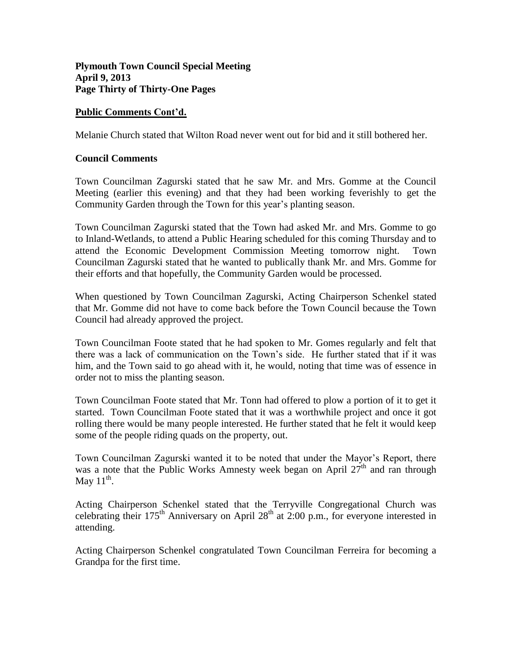### **Public Comments Cont'd.**

Melanie Church stated that Wilton Road never went out for bid and it still bothered her.

### **Council Comments**

Town Councilman Zagurski stated that he saw Mr. and Mrs. Gomme at the Council Meeting (earlier this evening) and that they had been working feverishly to get the Community Garden through the Town for this year's planting season.

Town Councilman Zagurski stated that the Town had asked Mr. and Mrs. Gomme to go to Inland-Wetlands, to attend a Public Hearing scheduled for this coming Thursday and to attend the Economic Development Commission Meeting tomorrow night. Town Councilman Zagurski stated that he wanted to publically thank Mr. and Mrs. Gomme for their efforts and that hopefully, the Community Garden would be processed.

When questioned by Town Councilman Zagurski, Acting Chairperson Schenkel stated that Mr. Gomme did not have to come back before the Town Council because the Town Council had already approved the project.

Town Councilman Foote stated that he had spoken to Mr. Gomes regularly and felt that there was a lack of communication on the Town's side. He further stated that if it was him, and the Town said to go ahead with it, he would, noting that time was of essence in order not to miss the planting season.

Town Councilman Foote stated that Mr. Tonn had offered to plow a portion of it to get it started. Town Councilman Foote stated that it was a worthwhile project and once it got rolling there would be many people interested. He further stated that he felt it would keep some of the people riding quads on the property, out.

Town Councilman Zagurski wanted it to be noted that under the Mayor's Report, there was a note that the Public Works Amnesty week began on April  $27<sup>th</sup>$  and ran through May  $11^{\text{th}}$ .

Acting Chairperson Schenkel stated that the Terryville Congregational Church was celebrating their  $175<sup>th</sup>$  Anniversary on April  $28<sup>th</sup>$  at 2:00 p.m., for everyone interested in attending.

Acting Chairperson Schenkel congratulated Town Councilman Ferreira for becoming a Grandpa for the first time.